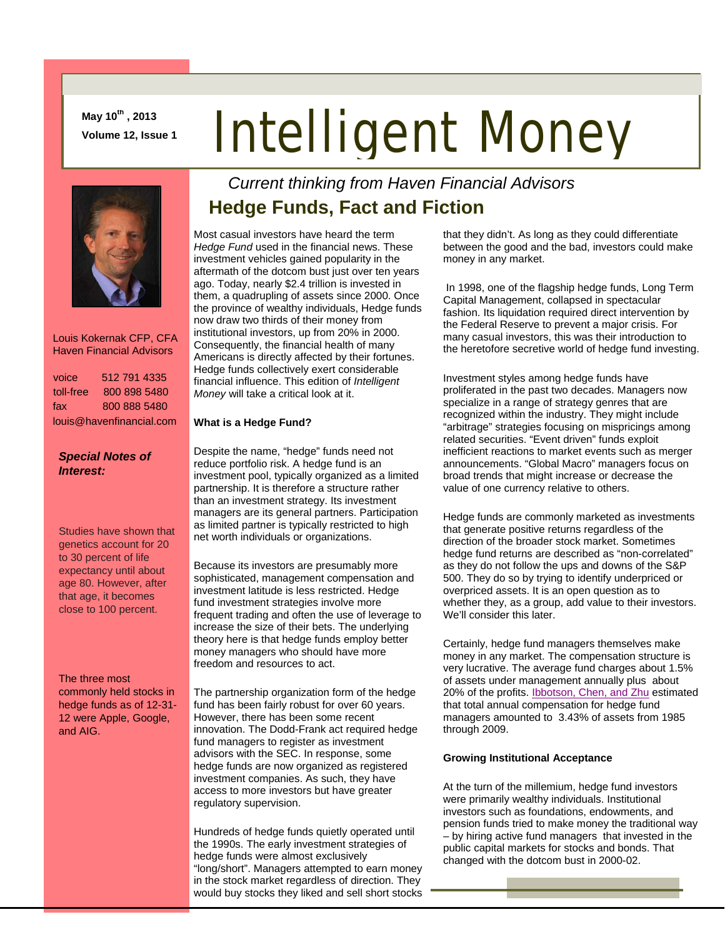**May 10th , 2013 Volume 12, Issue 1**

# Intelligent Money



 Louis Kokernak CFP, CFA Haven Financial Advisors

| voice                    | 512 791 4335 |  |
|--------------------------|--------------|--|
| toll-free                | 800 898 5480 |  |
| fax                      | 800 888 5480 |  |
| louis@havenfinancial.com |              |  |

### *Special Notes of Interest:*

Studies have shown that genetics account for 20 to 30 percent of life expectancy until about age 80. However, after that age, it becomes close to 100 percent.

The three most commonly held stocks in hedge funds as of 12-31- 12 were Apple, Google, and AIG.

## *Current thinking from Haven Financial Advisors*  **Hedge Funds, Fact and Fiction**

Most casual investors have heard the term *Hedge Fund* used in the financial news. These investment vehicles gained popularity in the aftermath of the dotcom bust just over ten years ago. Today, nearly \$2.4 trillion is invested in them, a quadrupling of assets since 2000. Once the province of wealthy individuals, Hedge funds now draw two thirds of their money from institutional investors, up from 20% in 2000. Consequently, the financial health of many Americans is directly affected by their fortunes. Hedge funds collectively exert considerable financial influence. This edition of *Intelligent Money* will take a critical look at it.

### **What is a Hedge Fund?**

Despite the name, "hedge" funds need not reduce portfolio risk. A hedge fund is an investment pool, typically organized as a limited partnership. It is therefore a structure rather than an investment strategy. Its investment managers are its general partners. Participation as limited partner is typically restricted to high net worth individuals or organizations.

Because its investors are presumably more sophisticated, management compensation and investment latitude is less restricted. Hedge fund investment strategies involve more frequent trading and often the use of leverage to increase the size of their bets. The underlying theory here is that hedge funds employ better money managers who should have more freedom and resources to act.

The partnership organization form of the hedge fund has been fairly robust for over 60 years. However, there has been some recent innovation. The Dodd-Frank act required hedge fund managers to register as investment advisors with the SEC. In response, some hedge funds are now organized as registered investment companies. As such, they have access to more investors but have greater regulatory supervision.

Hundreds of hedge funds quietly operated until the 1990s. The early investment strategies of hedge funds were almost exclusively "long/short". Managers attempted to earn money in the stock market regardless of direction. They would buy stocks they liked and sell short stocks that they didn't. As long as they could differentiate between the good and the bad, investors could make money in any market.

In 1998, one of the flagship hedge funds, Long Term Capital Management, collapsed in spectacular fashion. Its liquidation required direct intervention by the Federal Reserve to prevent a major crisis. For many casual investors, this was their introduction to the heretofore secretive world of hedge fund investing.

Investment styles among hedge funds have proliferated in the past two decades. Managers now specialize in a range of strategy genres that are recognized within the industry. They might include "arbitrage" strategies focusing on mispricings among related securities. "Event driven" funds exploit inefficient reactions to market events such as merger announcements. "Global Macro" managers focus on broad trends that might increase or decrease the value of one currency relative to others.

Hedge funds are commonly marketed as investments that generate positive returns regardless of the direction of the broader stock market. Sometimes hedge fund returns are described as "non-correlated" as they do not follow the ups and downs of the S&P 500. They do so by trying to identify underpriced or overpriced assets. It is an open question as to whether they, as a group, add value to their investors. We'll consider this later.

Certainly, hedge fund managers themselves make money in any market. The compensation structure is very lucrative. The average fund charges about 1.5% of assets under management annually plus about 20% of the profits. [Ibbotson, Chen, and Zhu](http://papers.ssrn.com/sol3/papers.cfm?abstract_id=1581559) estimated that total annual compensation for hedge fund managers amounted to 3.43% of assets from 1985 through 2009.

#### **Growing Institutional Acceptance**

At the turn of the millemium, hedge fund investors were primarily wealthy individuals. Institutional investors such as foundations, endowments, and pension funds tried to make money the traditional way – by hiring active fund managers that invested in the public capital markets for stocks and bonds. That changed with the dotcom bust in 2000-02.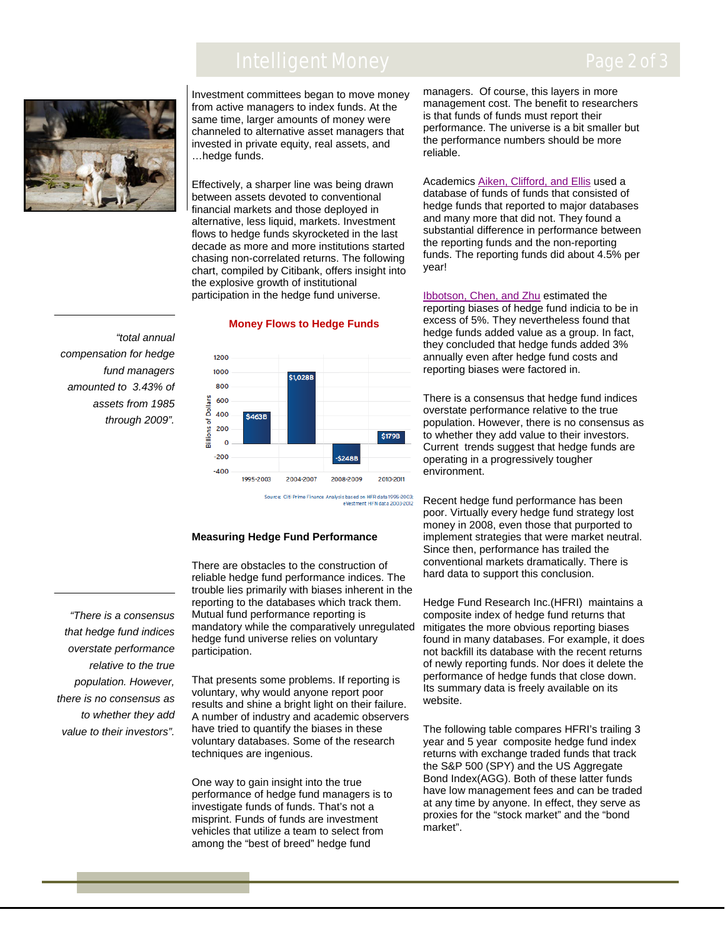## Intelligent Money



Investment committees began to move money from active managers to index funds. At the same time, larger amounts of money were channeled to alternative asset managers that invested in private equity, real assets, and …hedge funds.

Effectively, a sharper line was being drawn between assets devoted to conventional financial markets and those deployed in alternative, less liquid, markets. Investment flows to hedge funds skyrocketed in the last decade as more and more institutions started chasing non-correlated returns. The following chart, compiled by Citibank, offers insight into the explosive growth of institutional participation in the hedge fund universe.

 *compensation for hedge "total annual fund managers amounted to 3.43% of assets from 1985 through 2009".*

*"There is a consensus that hedge fund indices overstate performance relative to the true population. However, there is no consensus as to whether they add value to their investors".* 





Source: Citi Prime Finance Analysis based on HFR data 1995-2003;<br>eVestment HFN data 2003-2012

#### **Measuring Hedge Fund Performance**

There are obstacles to the construction of reliable hedge fund performance indices. The trouble lies primarily with biases inherent in the reporting to the databases which track them. Mutual fund performance reporting is mandatory while the comparatively unregulated hedge fund universe relies on voluntary participation.

That presents some problems. If reporting is voluntary, why would anyone report poor results and shine a bright light on their failure. A number of industry and academic observers have tried to quantify the biases in these voluntary databases. Some of the research techniques are ingenious.

One way to gain insight into the true performance of hedge fund managers is to investigate funds of funds. That's not a misprint. Funds of funds are investment vehicles that utilize a team to select from among the "best of breed" hedge fund

managers. Of course, this layers in more management cost. The benefit to researchers is that funds of funds must report their performance. The universe is a bit smaller but the performance numbers should be more reliable.

Academics [Aiken, Clifford, and Ellis](http://papers.ssrn.com/sol3/papers.cfm?abstract_id=1519914) used a database of funds of funds that consisted of hedge funds that reported to major databases and many more that did not. They found a substantial difference in performance between the reporting funds and the non-reporting funds. The reporting funds did about 4.5% per year!

[Ibbotson, Chen, and Zhu](http://papers.ssrn.com/sol3/papers.cfm?abstract_id=1581559) estimated the reporting biases of hedge fund indicia to be in excess of 5%. They nevertheless found that hedge funds added value as a group. In fact, they concluded that hedge funds added 3% annually even after hedge fund costs and reporting biases were factored in.

There is a consensus that hedge fund indices overstate performance relative to the true population. However, there is no consensus as to whether they add value to their investors. Current trends suggest that hedge funds are operating in a progressively tougher environment.

Recent hedge fund performance has been poor. Virtually every hedge fund strategy lost money in 2008, even those that purported to implement strategies that were market neutral. Since then, performance has trailed the conventional markets dramatically. There is hard data to support this conclusion.

Hedge Fund Research Inc.(HFRI) maintains a composite index of hedge fund returns that mitigates the more obvious reporting biases found in many databases. For example, it does not backfill its database with the recent returns of newly reporting funds. Nor does it delete the performance of hedge funds that close down. Its summary data is freely available on its website.

The following table compares HFRI's trailing 3 year and 5 year composite hedge fund index returns with exchange traded funds that track the S&P 500 (SPY) and the US Aggregate Bond Index(AGG). Both of these latter funds have low management fees and can be traded at any time by anyone. In effect, they serve as proxies for the "stock market" and the "bond market".

## Page 2 of 3